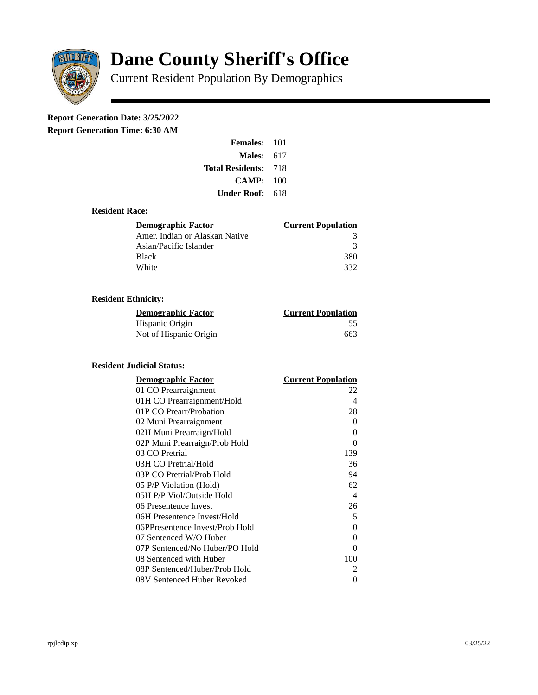

# **Dane County Sheriff's Office**

Current Resident Population By Demographics

# **Report Generation Date: 3/25/2022**

**Report Generation Time: 6:30 AM** 

| <b>Females: 101</b>         |     |
|-----------------------------|-----|
| Males:                      | 617 |
| <b>Total Residents: 718</b> |     |
| CAMP: 100                   |     |
| Under Roof:                 | 618 |

# **Resident Race:**

| Demographic Factor             | <b>Current Population</b> |
|--------------------------------|---------------------------|
| Amer. Indian or Alaskan Native | 3                         |
| Asian/Pacific Islander         | २                         |
| Black                          | 380                       |
| White                          | 332                       |

# **Resident Ethnicity:**

| <u> Demographic Factor</u> | <b>Current Population</b> |
|----------------------------|---------------------------|
| Hispanic Origin            | 55                        |
| Not of Hispanic Origin     | 663                       |

#### **Resident Judicial Status:**

| <b>Demographic Factor</b>       | <b>Current Population</b> |
|---------------------------------|---------------------------|
| 01 CO Prearraignment            | 22                        |
| 01H CO Prearraignment/Hold      | $\overline{\mathcal{A}}$  |
| 01P CO Prearr/Probation         | 28                        |
| 02 Muni Prearraignment          | 0                         |
| 02H Muni Prearraign/Hold        | 0                         |
| 02P Muni Prearraign/Prob Hold   | 0                         |
| 03 CO Pretrial                  | 139                       |
| 03H CO Pretrial/Hold            | 36                        |
| 03P CO Pretrial/Prob Hold       | 94                        |
| 05 P/P Violation (Hold)         | 62                        |
| 05H P/P Viol/Outside Hold       | $\overline{\mathcal{A}}$  |
| 06 Presentence Invest           | 26                        |
| 06H Presentence Invest/Hold     | 5                         |
| 06PPresentence Invest/Prob Hold | 0                         |
| 07 Sentenced W/O Huber          | 0                         |
| 07P Sentenced/No Huber/PO Hold  | 0                         |
| 08 Sentenced with Huber         | 100                       |
| 08P Sentenced/Huber/Prob Hold   | $\overline{2}$            |
| 08V Sentenced Huber Revoked     | 0                         |